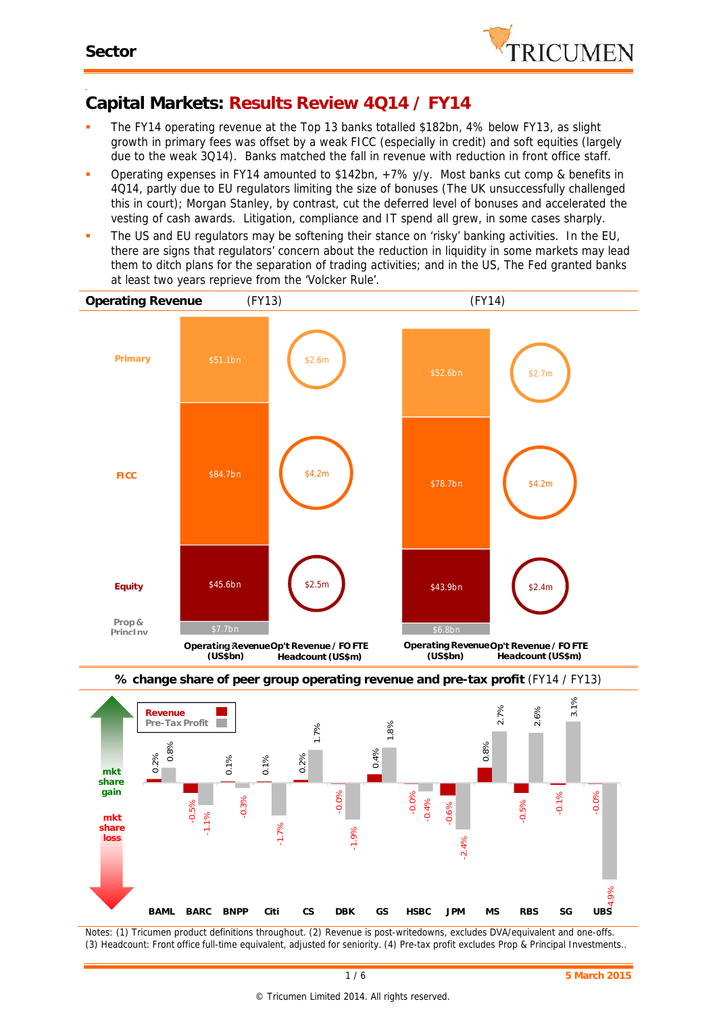

#### -**Capital Markets: Results Review 4Q14 / FY14**

- The FY14 operating revenue at the Top 13 banks totalled \$182bn, 4% below FY13, as slight growth in primary fees was offset by a weak FICC (especially in credit) and soft equities (largely due to the weak 3Q14). Banks matched the fall in revenue with reduction in front office staff.
- Operating expenses in FY14 amounted to \$142bn,  $+7\%$  y/y. Most banks cut comp & benefits in 4Q14, partly due to EU regulators limiting the size of bonuses (The UK unsuccessfully challenged this in court); Morgan Stanley, by contrast, cut the deferred level of bonuses and accelerated the vesting of cash awards. Litigation, compliance and IT spend all grew, in some cases sharply.
- The US and EU regulators may be softening their stance on 'risky' banking activities. In the EU, there are signs that regulators' concern about the reduction in liquidity in some markets may lead them to ditch plans for the separation of trading activities; and in the US, The Fed granted banks *at least* two years reprieve from the 'Volcker Rule'.





*Notes: (1) Tricumen product definitions throughout. (2) Revenue is post-writedowns, excludes DVA/equivalent and one-offs. (3) Headcount: Front office full-time equivalent, adjusted for seniority. (4) Pre-tax profit excludes Prop & Principal Investments..*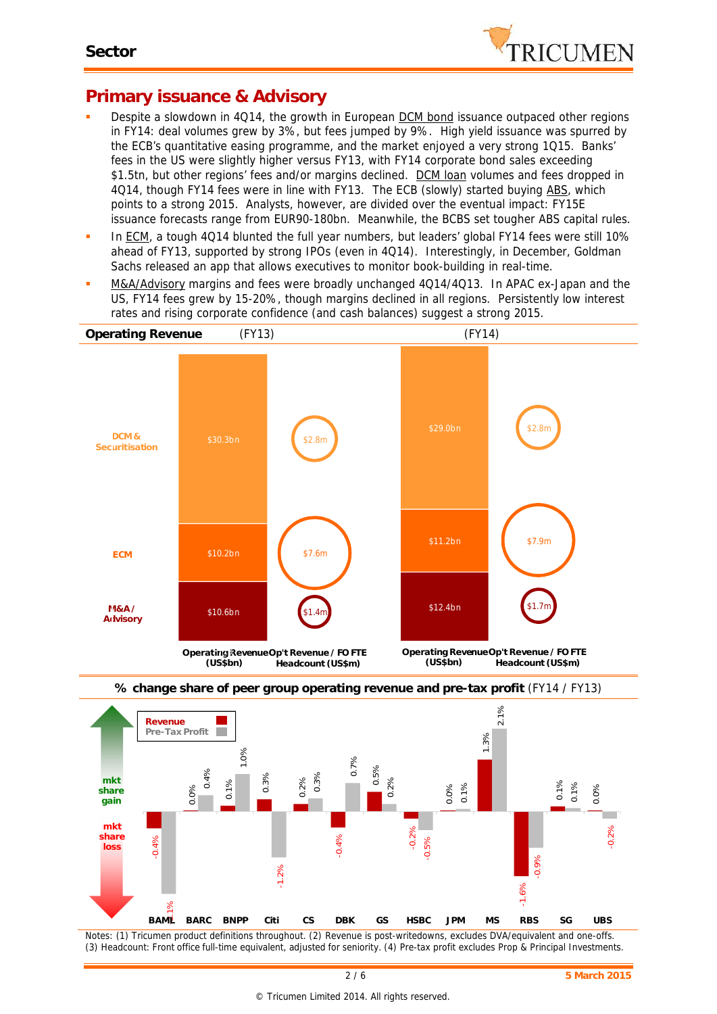

### **Primary issuance & Advisory**

- Despite a slowdown in 4Q14, the growth in European **DCM bond** issuance outpaced other regions in FY14: deal volumes grew by 3%, but fees jumped by 9%. High yield issuance was spurred by the ECB's quantitative easing programme, and the market enjoyed a very strong 1Q15. Banks' fees in the US were slightly higher versus FY13, with FY14 corporate bond sales exceeding \$1.5tn, but other regions' fees and/or margins declined. DCM loan volumes and fees dropped in 4Q14, though FY14 fees were in line with FY13. The ECB (slowly) started buying ABS, which points to a strong 2015. Analysts, however, are divided over the eventual impact: FY15E issuance forecasts range from EUR90-180bn. Meanwhile, the BCBS set tougher ABS capital rules.
- In ECM, a tough 4Q14 blunted the full year numbers, but leaders' global FY14 fees were still 10% ahead of FY13, supported by strong IPOs (even in 4Q14). Interestingly, in December, Goldman Sachs released an app that allows executives to monitor book-building in real-time.
- M&A/Advisory margins and fees were broadly unchanged 4Q14/4Q13. In APAC ex-Japan and the US, FY14 fees grew by 15-20%, though margins declined in all regions. Persistently low interest rates and rising corporate confidence (and cash balances) suggest a strong 2015.







*Notes: (1) Tricumen product definitions throughout. (2) Revenue is post-writedowns, excludes DVA/equivalent and one-offs. (3) Headcount: Front office full-time equivalent, adjusted for seniority. (4) Pre-tax profit excludes Prop & Principal Investments.*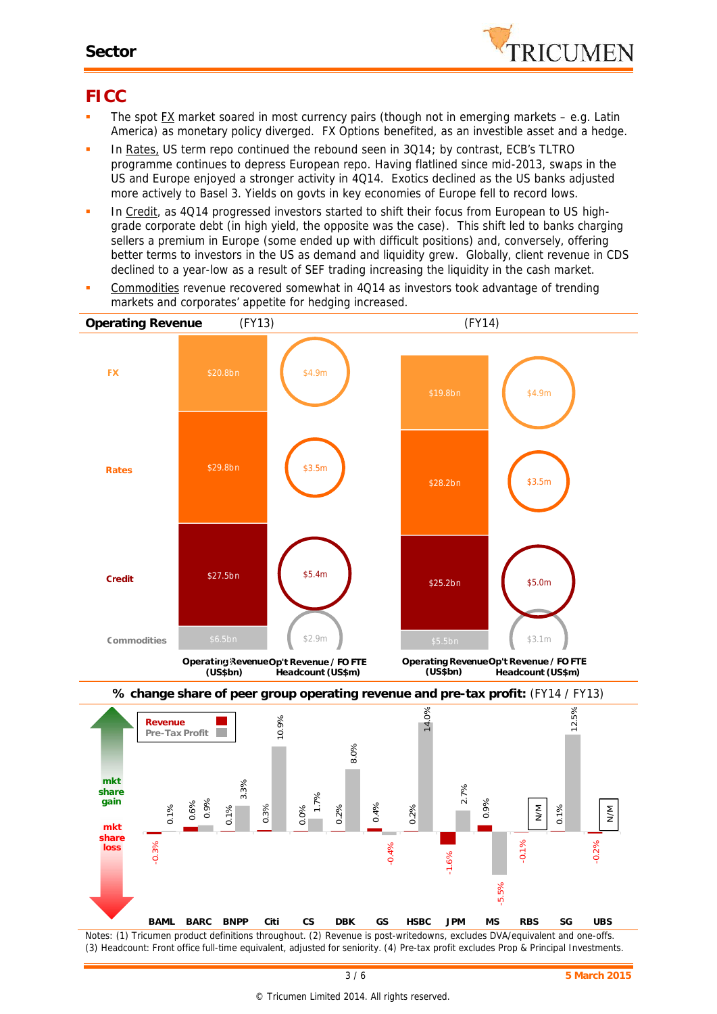

## **FICC**

- The spot FX market soared in most currency pairs (though not in emerging markets e.g. Latin America) as monetary policy diverged. FX Options benefited, as an investible asset and a hedge.
- In Rates, US term repo continued the rebound seen in 3Q14; by contrast, ECB's TLTRO programme continues to depress European repo. Having flatlined since mid-2013, swaps in the US and Europe enjoyed a stronger activity in 4Q14. Exotics declined as the US banks adjusted more actively to Basel 3. Yields on govts in key economies of Europe fell to record lows.
- In Credit, as 4Q14 progressed investors started to shift their focus from European to US highgrade corporate debt (in high yield, the opposite was the case). This shift led to banks charging sellers a premium in Europe (some ended up with difficult positions) and, conversely, offering better terms to investors in the US as demand and liquidity grew. Globally, client revenue in CDS declined to a year-low as a result of SEF trading increasing the liquidity in the cash market.
- Commodities revenue recovered somewhat in 4Q14 as investors took advantage of trending markets and corporates' appetite for hedging increased.



*Notes: (1) Tricumen product definitions throughout. (2) Revenue is post-writedowns, excludes DVA/equivalent and one-offs. (3) Headcount: Front office full-time equivalent, adjusted for seniority. (4) Pre-tax profit excludes Prop & Principal Investments.*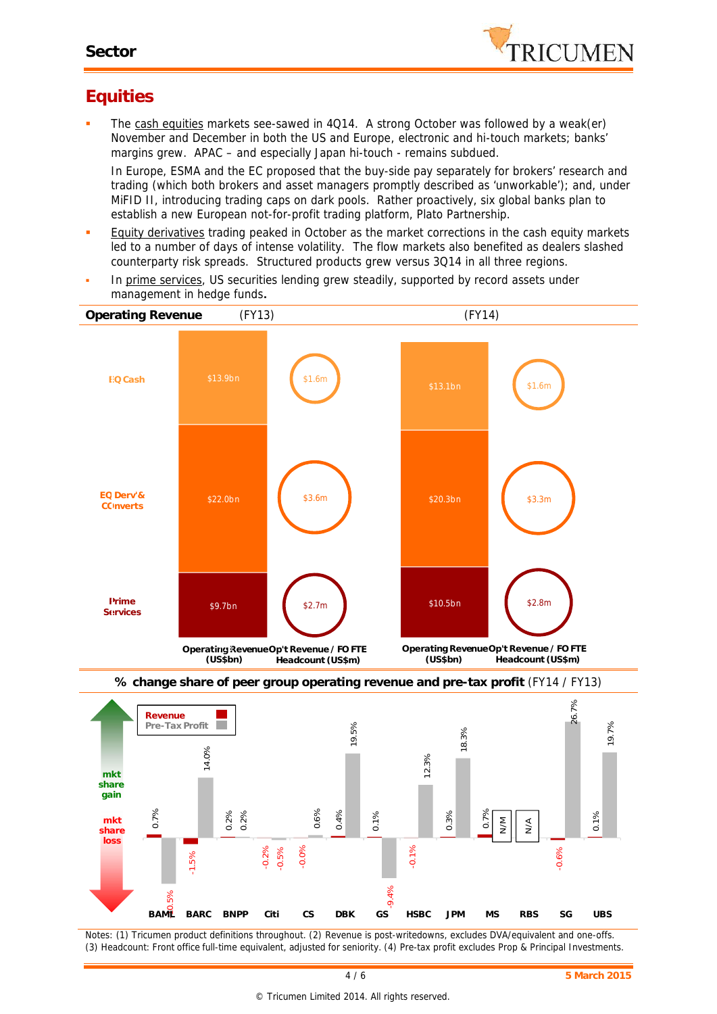

# **Equities**

The cash equities markets see-sawed in 4Q14. A strong October was followed by a weak(er) November and December in both the US and Europe, electronic and hi-touch markets; banks' margins grew. APAC – and especially Japan hi-touch - remains subdued.

In Europe, ESMA and the EC proposed that the buy-side pay separately for brokers' research and trading (which both brokers and asset managers promptly described as 'unworkable'); and, under MiFID II, introducing trading caps on dark pools. Rather proactively, six global banks plan to establish a new European not-for-profit trading platform, Plato Partnership.

- **Equity derivatives trading peaked in October as the market corrections in the cash equity markets** led to a number of days of intense volatility. The flow markets also benefited as dealers slashed counterparty risk spreads. Structured products grew versus 3Q14 in all three regions.
- In prime services, US securities lending grew steadily, supported by record assets under management in hedge funds**.** 3.5 3.5 50





*Notes: (1) Tricumen product definitions throughout. (2) Revenue is post-writedowns, excludes DVA/equivalent and one-offs. (3) Headcount: Front office full-time equivalent, adjusted for seniority. (4) Pre-tax profit excludes Prop & Principal Investments.*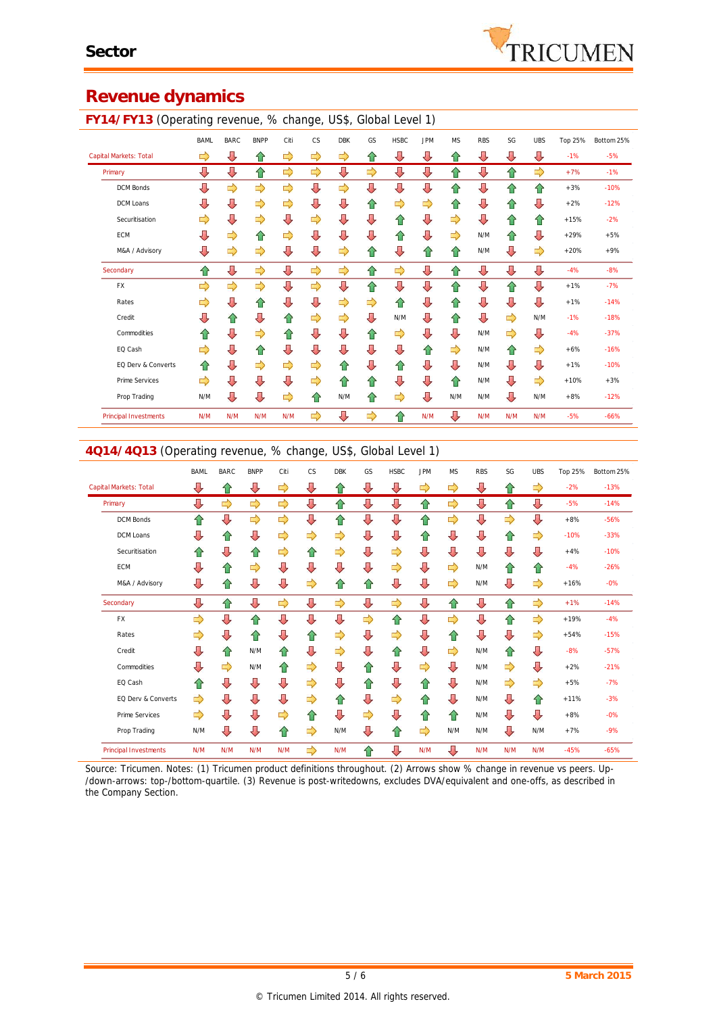

#### **Revenue dynamics**

#### **FY14/FY13** (Operating revenue, % change, US\$, Global Level 1)

| `                            | ັ           |             |             |               | ັ         |               |    |             |            |               |            |     |            |         |            |
|------------------------------|-------------|-------------|-------------|---------------|-----------|---------------|----|-------------|------------|---------------|------------|-----|------------|---------|------------|
|                              | <b>BAML</b> | <b>BARC</b> | <b>BNPP</b> | Citi          | <b>CS</b> | <b>DBK</b>    | GS | <b>HSBC</b> | <b>JPM</b> | <b>MS</b>     | <b>RBS</b> | SG  | <b>UBS</b> | Top 25% | Bottom 25% |
| Capital Markets: Total       | ⇨           | ⇩           | ⇧           | ⇨             | ⇨         | ⇨             | ⇧  | ⇩           | ⇩          | ⇧             | ⇩          | ⇩   | ⇩          | $-1%$   | $-5%$      |
| Primary                      | ⇩           | ⇩           | ⇧           | $\Rightarrow$ | ⇨         | ⇩             | ⇨  | ⇩           | ⇩          | ⇧             | ⇩          | ⇧   | ⇨          | $+7%$   | $-1%$      |
| DCM Bonds                    | ⇩           | ⇨           | ⇨           | $\Rightarrow$ | ⇩         | $\Rightarrow$ | ⇩  | ⇩           | ⇩          | ⇧             | $\sqrt{2}$ | 슙   | ⇧          | $+3%$   | $-10%$     |
| DCM Loans                    | ⇩           | ⇩           | ⇨           | ⇨             | ⇩         | ⇩             | ⇑  | ⇨           | ⇨          | ⇧             | ⇩          | 슙   | ⇩          | $+2%$   | $-12%$     |
| Securitisation               | ⇨           | ⇩           | ⇨           | ⇩             | ⇨         | ⇩             | ⇩  | 슙           | ⇩          | $\Rightarrow$ | ⇩          | 슙   | ⇧          | $+15%$  | $-2%$      |
| ECM                          | ⇩           | ⇨           | ⇧           | ⇨             | ⇩         | ⇩             | ⇩  | 슙           | ⇩          | $\Rightarrow$ | N/M        | ⇧   | ⇩          | $+29%$  | $+5%$      |
| M&A / Advisory               | ⇩           | ⇨           | ⇨           | ⇩             | ⇩         | ⇨             | ⇧  | ⇩           | ⇧          | ⇧             | N/M        | ⇩   | ⇨          | $+20%$  | $+9%$      |
| Secondary                    | ⇧           | ⇩           | ⇨           | ⇩             | ⇨         | ⇨             | ⇧  | ⇨           | ⇩          | ⇧             | ⇩          | ⇩   | ⇩          | $-4%$   | $-8%$      |
| <b>FX</b>                    | ⇨           | ⇨           | ⇨           | ⇩             | ⇨         | ⇩             | ⇧  | ⇩           | ⇩          | ⇧             | ⇩          | ⇧   | ⇩          | $+1%$   | $-7%$      |
| Rates                        | ⇨           | ⇩           | ⇧           | ⇩             | ⇩         | ⇨             | ⇨  | ⇧           | ⇩          | ⇧             | ⇩          | ⇩   | ⇩          | $+1%$   | $-14%$     |
| Credit                       | ⇩           | ⇧           | ⇩           | ⇑             | ⇨         | ⇨             | ⇩  | N/M         | ⇩          | ⇧             | ⇩          | ⇨   | N/M        | $-1%$   | $-18%$     |
| Commodities                  | ⇧           | ⇩           | ⇨           | ⇧             | ⇩         | ⇩             | ⇧  | ⇨           | ⇩          | ⇩             | N/M        | ⇨   | ⇩          | $-4%$   | $-37%$     |
| EQ Cash                      | ⇨           | ⇩           | ⇧           | ⇩             | ⇩         | ⇩             | ⇩  | ⇩           | ⇧          | ⇨             | N/M        | ⇧   | ⇨          | $+6%$   | $-16%$     |
| EQ Derv & Converts           | ⇧           | ⇩           | ⇨           | ⇨             | ⇨         | ⇑             | ⇩  | ⇧           | ⇩          | ⇩             | N/M        | ⇩   | ⇩          | $+1%$   | $-10%$     |
| Prime Services               | ⇨           | ⇩           | ⇩           | ⇩             | ⇨         | ⇑             | ⇧  | ⇩           | ⇩          | ⇧             | N/M        | ⇩   | ⇨          | $+10%$  | $+3%$      |
| Prop Trading                 | N/M         | ⇩           | ⇩           | ⇨             | 슌         | N/M           | ⇧  | ⇨           | ⇩          | N/M           | N/M        | ⇩   | N/M        | $+8%$   | $-12%$     |
| <b>Principal Investments</b> | N/M         | N/M         | N/M         | N/M           | ⇨         | ⇩             | ⇨  | ⇧           | N/M        | ⇩             | N/M        | N/M | N/M        | $-5%$   | $-66%$     |

#### **4Q14/4Q13** (Operating revenue, % change, US\$, Global Level 1)

|                              | <b>BAML</b>   | <b>BARC</b> | <b>BNPP</b> | Citi          | CS | <b>DBK</b>    | GS | <b>HSBC</b> | <b>JPM</b> | <b>MS</b> | <b>RBS</b> | SG  | <b>UBS</b> | Top 25% | Bottom 25% |
|------------------------------|---------------|-------------|-------------|---------------|----|---------------|----|-------------|------------|-----------|------------|-----|------------|---------|------------|
| Capital Markets: Total       | ⇩             | ⇧           | ⇩           | ⇨             | ⇩  | ⇧             | ⇩  | ⇩           | ⇨          | ⇨         | ⇩          | ⇧   | ⇨          | $-2%$   | $-13%$     |
| Primary                      | ⇩             | ⇨           | ⇨           | $\Rightarrow$ | ⇩  | ⇧             | ⇩  | ⇩           | ⇧          | ⇨         | ⇩          | ⇧   | ⇩          | $-5%$   | $-14%$     |
| <b>DCM Bonds</b>             | ⇧             | ⇩           | ⇨           | $\Rightarrow$ | ⇩  | ⇧             | ⇩  | ⇩           | ⇧          | ⇨         | ⇩          | ⇨   | ⇩          | $+8%$   | $-56%$     |
| DCM Loans                    | Д             | ⇑           | ⇩           | ⇨             | ⇨  | $\Rightarrow$ | ⇩  | ⇩           | ⇧          | ⇩         | ⇩          | 合   | ⇨          | $-10%$  | $-33%$     |
| Securitisation               | ⇑             | ⇩           | ⇑           | ⇨             | ⇧  | $\Rightarrow$ | ⇩  | ⇨           | ⇩          | ⇩         | ⇩          | ⇩   | J          | $+4%$   | $-10%$     |
| <b>ECM</b>                   | ⇩             | ⇧           | ⇨           | ⇩             | ⇩  | ⇩             | ⇩  | ⇨           | ⇩          | ⇨         | N/M        | ⇧   | ⇑          | $-4%$   | $-26%$     |
| M&A / Advisory               | ⇩             | 合           | ⇩           | ⇩             | ⇨  | ⇧             | ⇧  | ⇩           | ⇩          | ⇨         | N/M        | ⇩   | ⇨          | $+16%$  | $-0%$      |
| Secondary                    | ⇩             | ⇧           | ⇩           | ⇨             | ⇩  | $\Rightarrow$ | ⇩  | ⇨           | ⇩          | ⇧         | ⇩          | ⇧   | ⇨          | $+1%$   | $-14%$     |
| <b>FX</b>                    | ⇨             | ⇩           | 合           | ⇩             | ⇩  | ⇩             | ⇨  | ⇧           | ⇩          | ⇨         | ⇩          | 合   | ⇨          | $+19%$  | $-4%$      |
| Rates                        | ⇨             | ⇩           | ⇑           | ⇩             | ⇧  | ⇨             | ⇩  | ⇨           | ⇩          | ⇧         | ⇩          | ⇩   | ⇨          | $+54%$  | $-15%$     |
| Credit                       | ⇩             | ⇑           | N/M         | ⇑             | ⇩  | ⇨             | ⇩  | ⇧           | ⇩          | ⇨         | N/M        | ⇑   | ⇩          | $-8%$   | $-57%$     |
| Commodities                  | J             | ⇨           | N/M         | ⇧             | ⇨  | ⇩             | ⇧  | ⇩           | ⇨          | ⇩         | N/M        | ⇨   | ⇩          | $+2%$   | $-21%$     |
| EQ Cash                      | ⇑             | ⇩           | ⇩           | ⇩             | ⇨  | ⇩             | ⇧  | ⇩           | ⇧          | ⇩         | N/M        | ⇨   | ⇨          | $+5%$   | $-7%$      |
| EQ Derv & Converts           | $\Rightarrow$ | ⇩           | ⇩           | ⇩             | ⇨  | ⇧             | ⇩  | ⇨           | 合          | ⇩         | N/M        | ⇩   | ⇑          | $+11%$  | $-3%$      |
| <b>Prime Services</b>        | ⇨             | J           | ⇩           | ⇨             | ⇧  | ⇩             | ⇨  | ⇩           | ⇧          | ⇧         | N/M        | ⇩   | ⇩          | $+8%$   | $-0%$      |
| Prop Trading                 | N/M           | ⇩           | ⇩           | ⇧             | ⇨  | N/M           | ⇩  | ⇧           | ⇨          | N/M       | N/M        | ⇩   | N/M        | $+7%$   | $-9%$      |
| <b>Principal Investments</b> | N/M           | N/M         | N/M         | N/M           | ⇨  | N/M           | 슈  | ⇩           | N/M        | ⇩         | N/M        | N/M | N/M        | $-45%$  | $-65%$     |

*Source: Tricumen. Notes: (1) Tricumen product definitions throughout. (2) Arrows show % change in revenue vs peers. Up- /down-arrows: top-/bottom-quartile. (3) Revenue is post-writedowns, excludes DVA/equivalent and one-offs, as described in the Company Section.*